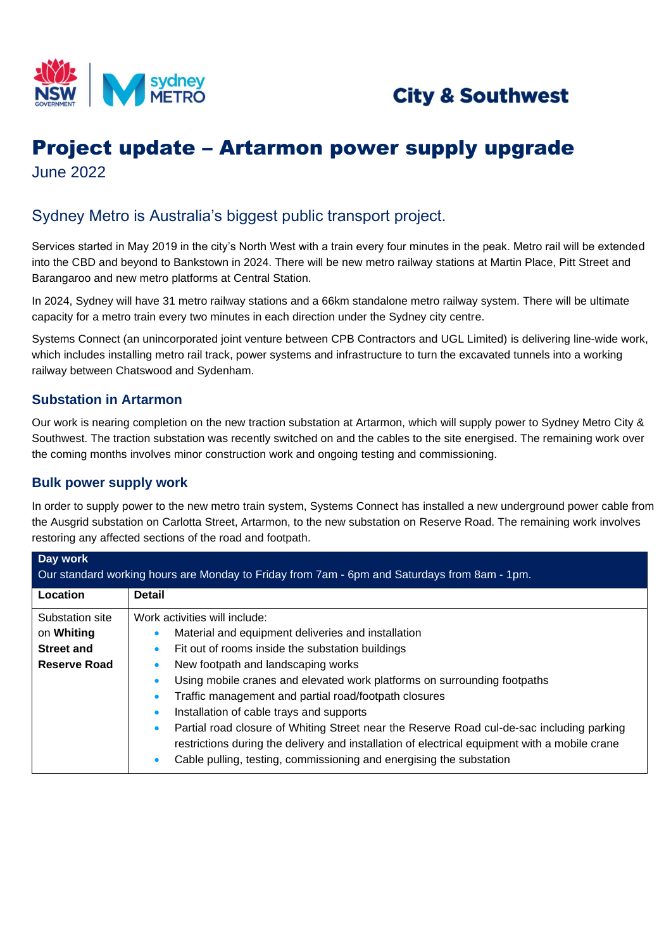



# Project update – Artarmon power supply upgrade June 2022

## Sydney Metro is Australia's biggest public transport project.

Services started in May 2019 in the city's North West with a train every four minutes in the peak. Metro rail will be extended into the CBD and beyond to Bankstown in 2024. There will be new metro railway stations at Martin Place, Pitt Street and Barangaroo and new metro platforms at Central Station.

In 2024, Sydney will have 31 metro railway stations and a 66km standalone metro railway system. There will be ultimate capacity for a metro train every two minutes in each direction under the Sydney city centre.

Systems Connect (an unincorporated joint venture between CPB Contractors and UGL Limited) is delivering line-wide work, which includes installing metro rail track, power systems and infrastructure to turn the excavated tunnels into a working railway between Chatswood and Sydenham.

#### **Substation in Artarmon**

Our work is nearing completion on the new traction substation at Artarmon, which will supply power to Sydney Metro City & Southwest. The traction substation was recently switched on and the cables to the site energised. The remaining work over the coming months involves minor construction work and ongoing testing and commissioning.

#### **Bulk power supply work**

In order to supply power to the new metro train system, Systems Connect has installed a new underground power cable from the Ausgrid substation on Carlotta Street, Artarmon, to the new substation on Reserve Road. The remaining work involves restoring any affected sections of the road and footpath.

| Day work<br>Our standard working hours are Monday to Friday from 7am - 6pm and Saturdays from 8am - 1pm. |                                                                                                                                                                                                                                                                   |  |  |  |
|----------------------------------------------------------------------------------------------------------|-------------------------------------------------------------------------------------------------------------------------------------------------------------------------------------------------------------------------------------------------------------------|--|--|--|
| Location                                                                                                 | <b>Detail</b>                                                                                                                                                                                                                                                     |  |  |  |
| Substation site                                                                                          | Work activities will include:                                                                                                                                                                                                                                     |  |  |  |
| on Whiting                                                                                               | Material and equipment deliveries and installation                                                                                                                                                                                                                |  |  |  |
| <b>Street and</b>                                                                                        | Fit out of rooms inside the substation buildings                                                                                                                                                                                                                  |  |  |  |
| Reserve Road                                                                                             | New footpath and landscaping works                                                                                                                                                                                                                                |  |  |  |
|                                                                                                          | Using mobile cranes and elevated work platforms on surrounding footpaths                                                                                                                                                                                          |  |  |  |
|                                                                                                          | Traffic management and partial road/footpath closures                                                                                                                                                                                                             |  |  |  |
|                                                                                                          | Installation of cable trays and supports<br>$\bullet$                                                                                                                                                                                                             |  |  |  |
|                                                                                                          | Partial road closure of Whiting Street near the Reserve Road cul-de-sac including parking<br>restrictions during the delivery and installation of electrical equipment with a mobile crane<br>Cable pulling, testing, commissioning and energising the substation |  |  |  |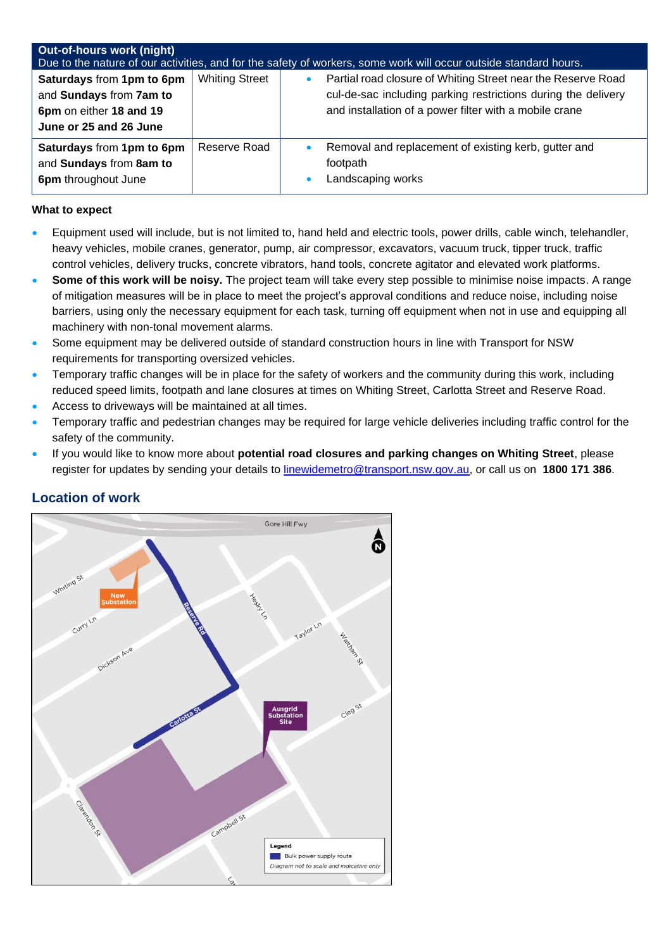| <b>Out-of-hours work (night)</b><br>Due to the nature of our activities, and for the safety of workers, some work will occur outside standard hours. |                       |           |                                                                                                                                                                                         |  |
|------------------------------------------------------------------------------------------------------------------------------------------------------|-----------------------|-----------|-----------------------------------------------------------------------------------------------------------------------------------------------------------------------------------------|--|
| Saturdays from 1pm to 6pm<br>and Sundays from 7am to<br>6pm on either 18 and 19<br>June or 25 and 26 June                                            | <b>Whiting Street</b> | $\bullet$ | Partial road closure of Whiting Street near the Reserve Road<br>cul-de-sac including parking restrictions during the delivery<br>and installation of a power filter with a mobile crane |  |
| Saturdays from 1pm to 6pm<br>and Sundays from 8am to<br>6pm throughout June                                                                          | Reserve Road          | $\bullet$ | Removal and replacement of existing kerb, gutter and<br>footpath<br>Landscaping works                                                                                                   |  |

#### **What to expect**

- Equipment used will include, but is not limited to, hand held and electric tools, power drills, cable winch, telehandler, heavy vehicles, mobile cranes, generator, pump, air compressor, excavators, vacuum truck, tipper truck, traffic control vehicles, delivery trucks, concrete vibrators, hand tools, concrete agitator and elevated work platforms.
- **Some of this work will be noisy.** The project team will take every step possible to minimise noise impacts. A range of mitigation measures will be in place to meet the project's approval conditions and reduce noise, including noise barriers, using only the necessary equipment for each task, turning off equipment when not in use and equipping all machinery with non-tonal movement alarms.
- Some equipment may be delivered outside of standard construction hours in line with Transport for NSW requirements for transporting oversized vehicles.
- Temporary traffic changes will be in place for the safety of workers and the community during this work, including reduced speed limits, footpath and lane closures at times on Whiting Street, Carlotta Street and Reserve Road.
- Access to driveways will be maintained at all times.
- Temporary traffic and pedestrian changes may be required for large vehicle deliveries including traffic control for the safety of the community.
- If you would like to know more about **potential road closures and parking changes on Whiting Street**, please register for updates by sending your details to [linewidemetro@transport.nsw.gov.au,](mailto:linewidemetro@transport.nsw.gov.au) or call us on **1800 171 386**.



### **Location of work**